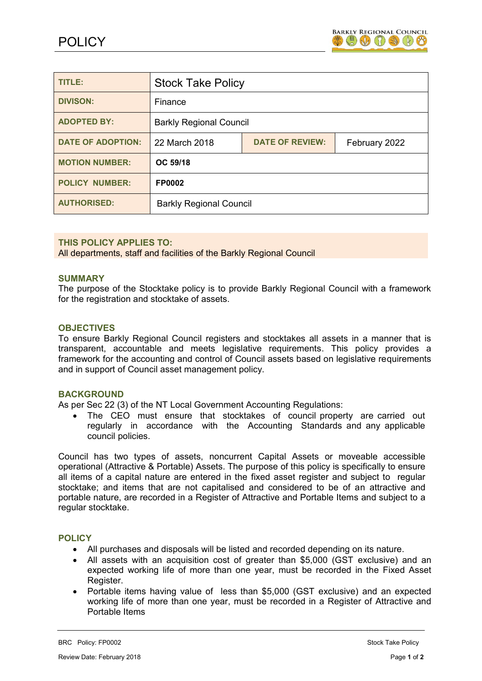

| TITLE:                   | <b>Stock Take Policy</b>       |                        |               |
|--------------------------|--------------------------------|------------------------|---------------|
| <b>DIVISON:</b>          | Finance                        |                        |               |
| <b>ADOPTED BY:</b>       | <b>Barkly Regional Council</b> |                        |               |
| <b>DATE OF ADOPTION:</b> | 22 March 2018                  | <b>DATE OF REVIEW:</b> | February 2022 |
| <b>MOTION NUMBER:</b>    | OC 59/18                       |                        |               |
| <b>POLICY NUMBER:</b>    | <b>FP0002</b>                  |                        |               |
| <b>AUTHORISED:</b>       | <b>Barkly Regional Council</b> |                        |               |

### **THIS POLICY APPLIES TO:**

All departments, staff and facilities of the Barkly Regional Council

#### **SUMMARY**

The purpose of the Stocktake policy is to provide Barkly Regional Council with a framework for the registration and stocktake of assets.

### **OBJECTIVES**

To ensure Barkly Regional Council registers and stocktakes all assets in a manner that is transparent, accountable and meets legislative requirements. This policy provides a framework for the accounting and control of Council assets based on legislative requirements and in support of Council asset management policy.

### **BACKGROUND**

As per Sec 22 (3) of the NT Local Government Accounting Regulations:

 The CEO must ensure that stocktakes of council property are carried out regularly in accordance with the Accounting Standards and any applicable council policies.

Council has two types of assets, noncurrent Capital Assets or moveable accessible operational (Attractive & Portable) Assets. The purpose of this policy is specifically to ensure all items of a capital nature are entered in the fixed asset register and subject to regular stocktake; and items that are not capitalised and considered to be of an attractive and portable nature, are recorded in a Register of Attractive and Portable Items and subject to a regular stocktake.

### **POLICY**

- All purchases and disposals will be listed and recorded depending on its nature.
- All assets with an acquisition cost of greater than \$5,000 (GST exclusive) and an expected working life of more than one year, must be recorded in the Fixed Asset Register.
- Portable items having value of less than \$5,000 (GST exclusive) and an expected working life of more than one year, must be recorded in a Register of Attractive and Portable Items